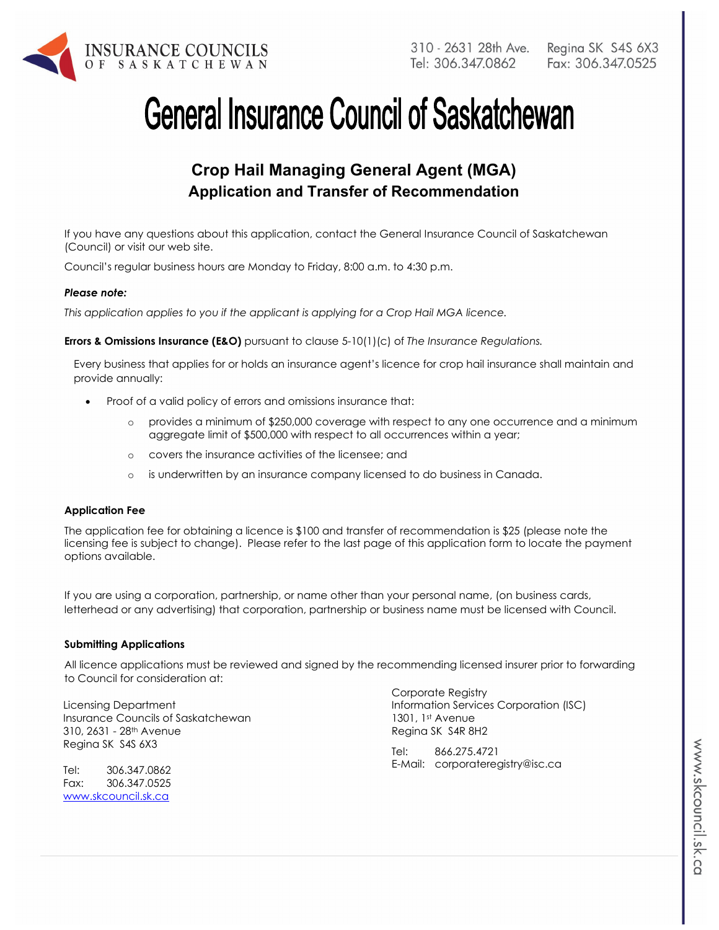

# **General Insurance Council of Saskatchewan**

## **Crop Hail Managing General Agent (MGA) Application and Transfer of Recommendation**

If you have any questions about this application, contact the General Insurance Council of Saskatchewan (Council) or visit our web site.

Council's regular business hours are Monday to Friday, 8:00 a.m. to 4:30 p.m.

#### *Please note:*

*This application applies to you if the applicant is applying for a Crop Hail MGA licence.* 

**Errors & Omissions Insurance (E&O)** pursuant to clause 5-10(1)(c) of *The Insurance Regulations.* 

Every business that applies for or holds an insurance agent's licence for crop hail insurance shall maintain and provide annually:

- Proof of a valid policy of errors and omissions insurance that:
	- o provides a minimum of \$250,000 coverage with respect to any one occurrence and a minimum aggregate limit of \$500,000 with respect to all occurrences within a year;
	- o covers the insurance activities of the licensee; and
	- o is underwritten by an insurance company licensed to do business in Canada.

#### **Application Fee**

The application fee for obtaining a licence is \$100 and transfer of recommendation is \$25 (please note the licensing fee is subject to change). Please refer to the last page of this application form to locate the payment options available.

If you are using a corporation, partnership, or name other than your personal name, (on business cards, letterhead or any advertising) that corporation, partnership or business name must be licensed with Council.

#### **Submitting Applications**

All licence applications must be reviewed and signed by the recommending licensed insurer prior to forwarding to Council for consideration at:

Licensing Department Insurance Councils of Saskatchewan 310, 2631 - 28th Avenue Regina SK S4S 6X3

Tel: 306.347.0862 Fax: 306.347.0525 www.skcouncil.sk.ca

Corporate Registry Information Services Corporation (ISC) 1301, 1st Avenue Regina SK S4R 8H2

Tel: 866.275.4721 E-Mail: corporateregistry@isc.ca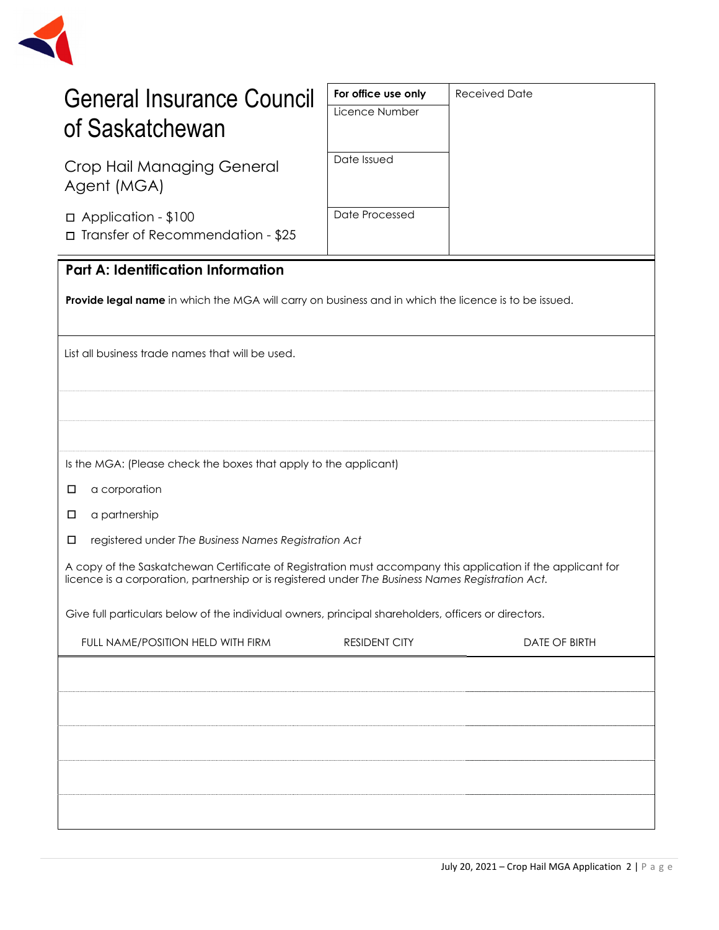

| <b>General Insurance Council</b>                                                                                                                                                                                 | For office use only<br>Licence Number                | <b>Received Date</b> |  |
|------------------------------------------------------------------------------------------------------------------------------------------------------------------------------------------------------------------|------------------------------------------------------|----------------------|--|
| of Saskatchewan                                                                                                                                                                                                  |                                                      |                      |  |
| Crop Hail Managing General                                                                                                                                                                                       | Date Issued                                          |                      |  |
| Agent (MGA)                                                                                                                                                                                                      |                                                      |                      |  |
| □ Application - \$100                                                                                                                                                                                            | Date Processed                                       |                      |  |
| □ Transfer of Recommendation - \$25                                                                                                                                                                              |                                                      |                      |  |
| <b>Part A: Identification Information</b>                                                                                                                                                                        |                                                      |                      |  |
| Provide legal name in which the MGA will carry on business and in which the licence is to be issued.                                                                                                             |                                                      |                      |  |
|                                                                                                                                                                                                                  |                                                      |                      |  |
| List all business trade names that will be used.                                                                                                                                                                 |                                                      |                      |  |
|                                                                                                                                                                                                                  |                                                      |                      |  |
|                                                                                                                                                                                                                  |                                                      |                      |  |
|                                                                                                                                                                                                                  |                                                      |                      |  |
| Is the MGA: (Please check the boxes that apply to the applicant)                                                                                                                                                 |                                                      |                      |  |
| a corporation<br>□                                                                                                                                                                                               |                                                      |                      |  |
| a partnership<br>□                                                                                                                                                                                               |                                                      |                      |  |
| $\Box$                                                                                                                                                                                                           | registered under The Business Names Registration Act |                      |  |
| A copy of the Saskatchewan Certificate of Registration must accompany this application if the applicant for<br>licence is a corporation, partnership or is registered under The Business Names Registration Act. |                                                      |                      |  |
| Give full particulars below of the individual owners, principal shareholders, officers or directors.                                                                                                             |                                                      |                      |  |
| FULL NAME/POSITION HELD WITH FIRM                                                                                                                                                                                | <b>RESIDENT CITY</b>                                 | DATE OF BIRTH        |  |
|                                                                                                                                                                                                                  |                                                      |                      |  |
|                                                                                                                                                                                                                  |                                                      |                      |  |
|                                                                                                                                                                                                                  |                                                      |                      |  |
|                                                                                                                                                                                                                  |                                                      |                      |  |
|                                                                                                                                                                                                                  |                                                      |                      |  |
|                                                                                                                                                                                                                  |                                                      |                      |  |
|                                                                                                                                                                                                                  |                                                      |                      |  |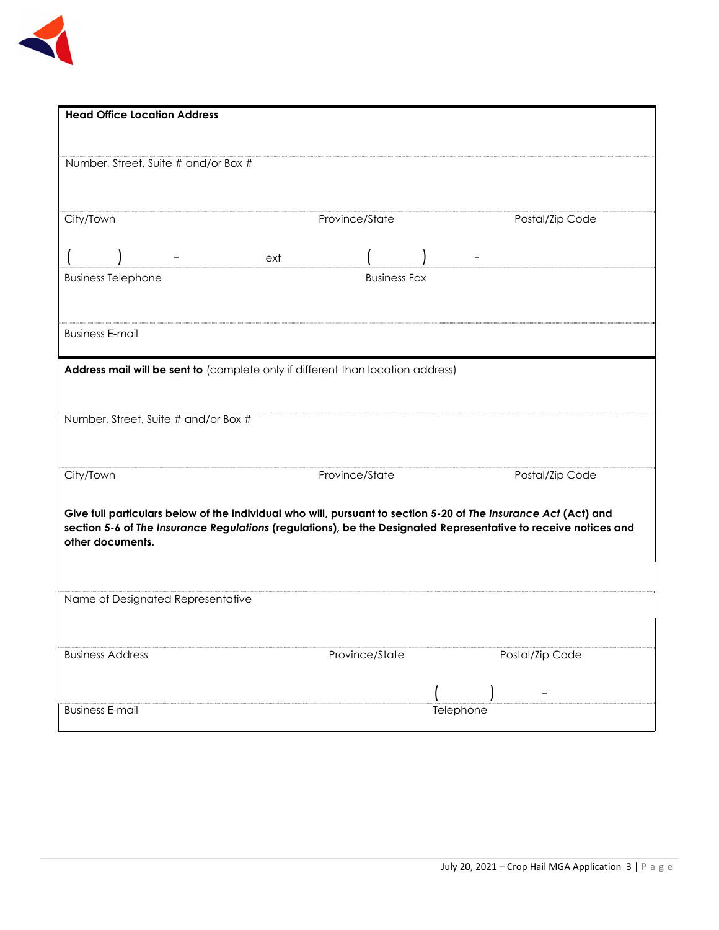

| <b>Head Office Location Address</b>                                                                                                 |                     |                 |
|-------------------------------------------------------------------------------------------------------------------------------------|---------------------|-----------------|
|                                                                                                                                     |                     |                 |
| Number, Street, Suite # and/or Box #                                                                                                |                     |                 |
|                                                                                                                                     |                     |                 |
| City/Town                                                                                                                           | Province/State      | Postal/Zip Code |
| ext                                                                                                                                 |                     |                 |
| <b>Business Telephone</b>                                                                                                           | <b>Business Fax</b> |                 |
|                                                                                                                                     |                     |                 |
| <b>Business E-mail</b>                                                                                                              |                     |                 |
| Address mail will be sent to (complete only if different than location address)                                                     |                     |                 |
|                                                                                                                                     |                     |                 |
| Number, Street, Suite # and/or Box #                                                                                                |                     |                 |
|                                                                                                                                     |                     |                 |
| City/Town                                                                                                                           | Province/State      | Postal/Zip Code |
| Give full particulars below of the individual who will, pursuant to section 5-20 of The Insurance Act (Act) and                     |                     |                 |
| section 5-6 of The Insurance Regulations (regulations), be the Designated Representative to receive notices and<br>other documents. |                     |                 |
|                                                                                                                                     |                     |                 |
|                                                                                                                                     |                     |                 |
| Name of Designated Representative                                                                                                   |                     |                 |
|                                                                                                                                     |                     |                 |
| <b>Business Address</b>                                                                                                             | Province/State      | Postal/Zip Code |
|                                                                                                                                     |                     |                 |
| <b>Business E-mail</b>                                                                                                              |                     | Telephone       |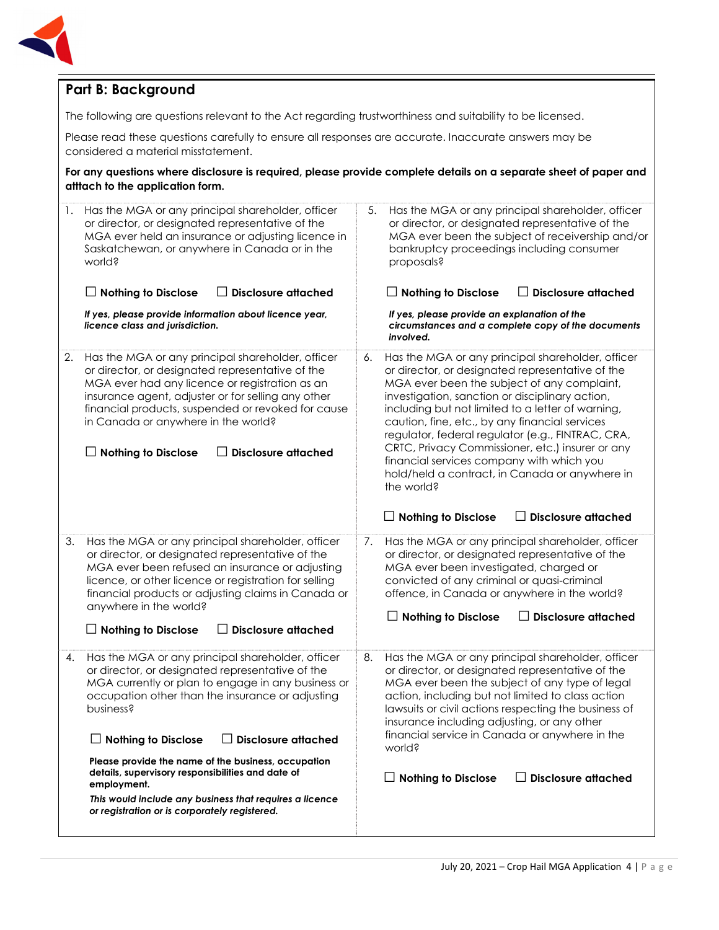

## **Part B: Background**

The following are questions relevant to the Act regarding trustworthiness and suitability to be licensed.

Please read these questions carefully to ensure all responses are accurate. Inaccurate answers may be considered a material misstatement.

**For any questions where disclosure is required, please provide complete details on a separate sheet of paper and atttach to the application form.**

| 1. | Has the MGA or any principal shareholder, officer<br>or director, or designated representative of the<br>MGA ever held an insurance or adjusting licence in<br>Saskatchewan, or anywhere in Canada or in the<br>world?<br>$\Box$ Disclosure attached<br><b>Nothing to Disclose</b><br>If yes, please provide information about licence year,<br>licence class and jurisdiction.                                                                                                                                                 | 5.<br>Has the MGA or any principal shareholder, officer<br>or director, or designated representative of the<br>MGA ever been the subject of receivership and/or<br>bankruptcy proceedings including consumer<br>proposals?<br><b>Disclosure attached</b><br>$\Box$ Nothing to Disclose<br>If yes, please provide an explanation of the<br>circumstances and a complete copy of the documents                                                                                                                                               |
|----|---------------------------------------------------------------------------------------------------------------------------------------------------------------------------------------------------------------------------------------------------------------------------------------------------------------------------------------------------------------------------------------------------------------------------------------------------------------------------------------------------------------------------------|--------------------------------------------------------------------------------------------------------------------------------------------------------------------------------------------------------------------------------------------------------------------------------------------------------------------------------------------------------------------------------------------------------------------------------------------------------------------------------------------------------------------------------------------|
|    |                                                                                                                                                                                                                                                                                                                                                                                                                                                                                                                                 | involved.                                                                                                                                                                                                                                                                                                                                                                                                                                                                                                                                  |
| 2. | Has the MGA or any principal shareholder, officer<br>or director, or designated representative of the<br>MGA ever had any licence or registration as an<br>insurance agent, adjuster or for selling any other<br>financial products, suspended or revoked for cause<br>in Canada or anywhere in the world?<br><b>Disclosure attached</b><br><b>Nothing to Disclose</b>                                                                                                                                                          | Has the MGA or any principal shareholder, officer<br>6.<br>or director, or designated representative of the<br>MGA ever been the subject of any complaint,<br>investigation, sanction or disciplinary action,<br>including but not limited to a letter of warning,<br>caution, fine, etc., by any financial services<br>regulator, federal regulator (e.g., FINTRAC, CRA,<br>CRTC, Privacy Commissioner, etc.) insurer or any<br>financial services company with which you<br>hold/held a contract, in Canada or anywhere in<br>the world? |
|    |                                                                                                                                                                                                                                                                                                                                                                                                                                                                                                                                 | $\Box$ Nothing to Disclose<br><b>Disclosure attached</b>                                                                                                                                                                                                                                                                                                                                                                                                                                                                                   |
| 3. | Has the MGA or any principal shareholder, officer<br>or director, or designated representative of the<br>MGA ever been refused an insurance or adjusting<br>licence, or other licence or registration for selling<br>financial products or adjusting claims in Canada or<br>anywhere in the world?<br><b>Disclosure attached</b><br>$\Box$ Nothing to Disclose                                                                                                                                                                  | Has the MGA or any principal shareholder, officer<br>7.<br>or director, or designated representative of the<br>MGA ever been investigated, charged or<br>convicted of any criminal or quasi-criminal<br>offence, in Canada or anywhere in the world?<br><b>Disclosure attached</b><br>$\perp$ Nothing to Disclose                                                                                                                                                                                                                          |
| 4. | Has the MGA or any principal shareholder, officer<br>or director, or designated representative of the<br>MGA currently or plan to engage in any business or<br>occupation other than the insurance or adjusting<br>business?<br>$\Box$ Disclosure attached<br>$\Box$ Nothing to Disclose<br>Please provide the name of the business, occupation<br>details, supervisory responsibilities and date of<br>employment.<br>This would include any business that requires a licence<br>or registration or is corporately registered. | Has the MGA or any principal shareholder, officer<br>8.<br>or director, or designated representative of the<br>MGA ever been the subject of any type of legal<br>action, including but not limited to class action<br>lawsuits or civil actions respecting the business of<br>insurance including adjusting, or any other<br>financial service in Canada or anywhere in the<br>world?<br><b>Nothing to Disclose</b><br>$\Box$ Disclosure attached                                                                                          |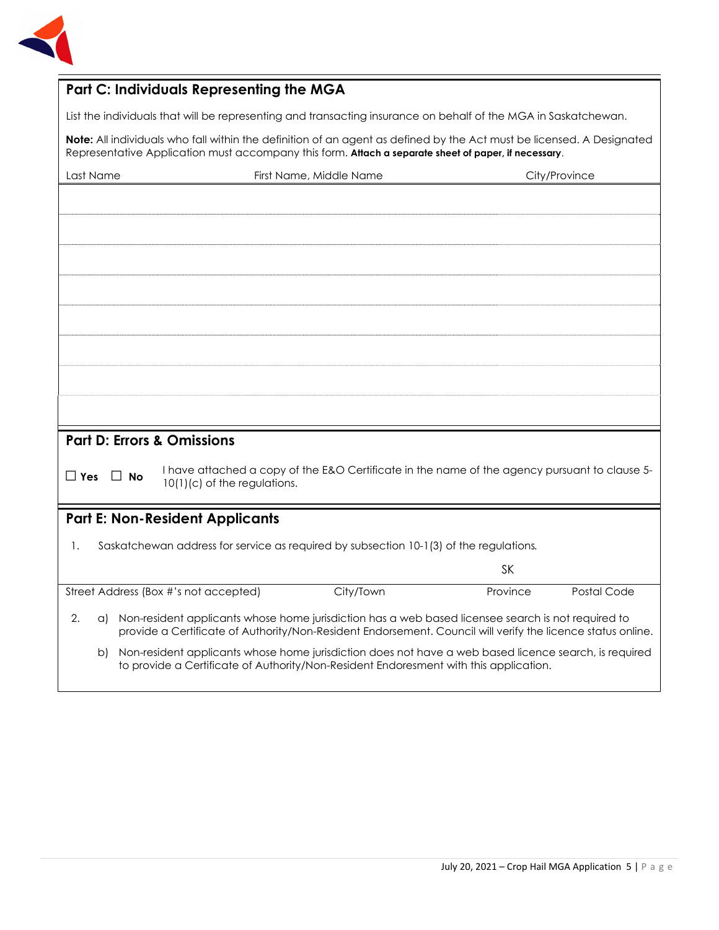

## **Part C: Individuals Representing the MGA**

List the individuals that will be representing and transacting insurance on behalf of the MGA in Saskatchewan.

**Note:** All individuals who fall within the definition of an agent as defined by the Act must be licensed. A Designated Representative Application must accompany this form. **Attach a separate sheet of paper, if necessary**.

| Last Name            | First Name, Middle Name                                                                                                                                                                                           | City/Province                                                                                 |
|----------------------|-------------------------------------------------------------------------------------------------------------------------------------------------------------------------------------------------------------------|-----------------------------------------------------------------------------------------------|
|                      |                                                                                                                                                                                                                   |                                                                                               |
|                      |                                                                                                                                                                                                                   |                                                                                               |
|                      |                                                                                                                                                                                                                   |                                                                                               |
|                      |                                                                                                                                                                                                                   |                                                                                               |
|                      |                                                                                                                                                                                                                   |                                                                                               |
|                      |                                                                                                                                                                                                                   |                                                                                               |
|                      |                                                                                                                                                                                                                   |                                                                                               |
|                      |                                                                                                                                                                                                                   |                                                                                               |
|                      |                                                                                                                                                                                                                   |                                                                                               |
|                      |                                                                                                                                                                                                                   |                                                                                               |
|                      |                                                                                                                                                                                                                   |                                                                                               |
|                      | <b>Part D: Errors &amp; Omissions</b>                                                                                                                                                                             |                                                                                               |
| $\Box$ Yes $\Box$ No | $10(1)(c)$ of the regulations.                                                                                                                                                                                    | I have attached a copy of the E&O Certificate in the name of the agency pursuant to clause 5- |
|                      | <b>Part E: Non-Resident Applicants</b>                                                                                                                                                                            |                                                                                               |
| 1.                   | Saskatchewan address for service as required by subsection 10-1(3) of the regulations.                                                                                                                            |                                                                                               |
|                      |                                                                                                                                                                                                                   | <b>SK</b>                                                                                     |
|                      | Street Address (Box #'s not accepted)<br>City/Town                                                                                                                                                                | Postal Code<br>Province                                                                       |
| 2.<br>a)             | Non-resident applicants whose home jurisdiction has a web based licensee search is not required to<br>provide a Certificate of Authority/Non-Resident Endorsement. Council will verify the licence status online. |                                                                                               |
| b)                   | Non-resident applicants whose home jurisdiction does not have a web based licence search, is required<br>to provide a Certificate of Authority/Non-Resident Endoresment with this application.                    |                                                                                               |
|                      |                                                                                                                                                                                                                   |                                                                                               |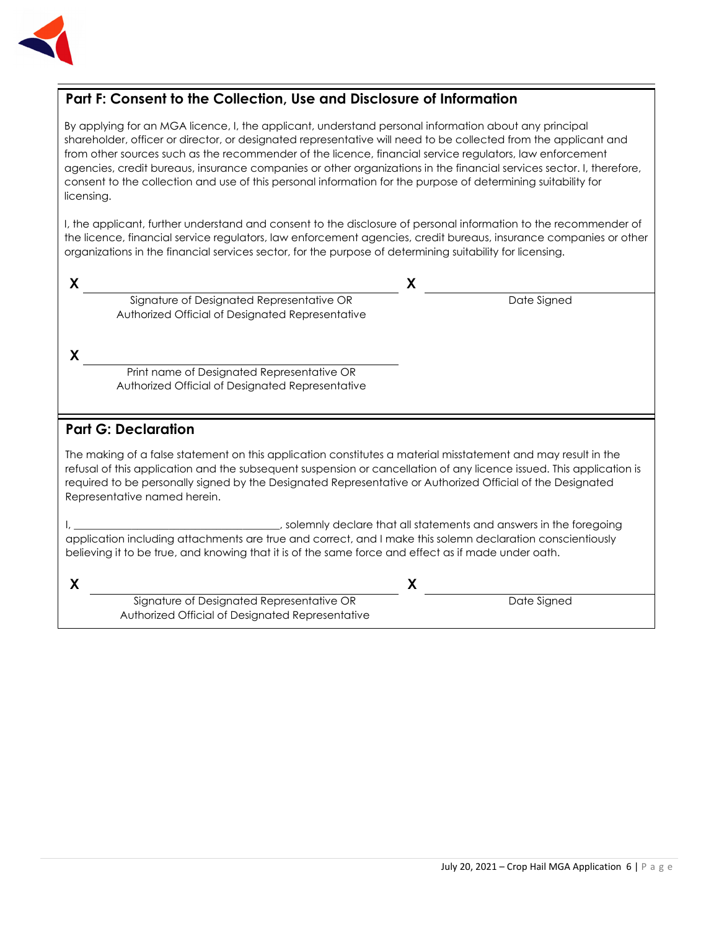

## **Part F: Consent to the Collection, Use and Disclosure of Information**

By applying for an MGA licence, I, the applicant, understand personal information about any principal shareholder, officer or director, or designated representative will need to be collected from the applicant and from other sources such as the recommender of the licence, financial service regulators, law enforcement agencies, credit bureaus, insurance companies or other organizations in the financial services sector. I, therefore, consent to the collection and use of this personal information for the purpose of determining suitability for licensing.

I, the applicant, further understand and consent to the disclosure of personal information to the recommender of the licence, financial service regulators, law enforcement agencies, credit bureaus, insurance companies or other organizations in the financial services sector, for the purpose of determining suitability for licensing.

| v |                                                  |             |
|---|--------------------------------------------------|-------------|
|   | Signature of Designated Representative OR        | Date Signed |
|   | Authorized Official of Designated Representative |             |

**X**

Print name of Designated Representative OR Authorized Official of Designated Representative

Signature of Designated Representative OR Authorized Official of Designated Representative

### **Part G: Declaration**

The making of a false statement on this application constitutes a material misstatement and may result in the refusal of this application and the subsequent suspension or cancellation of any licence issued. This application is required to be personally signed by the Designated Representative or Authorized Official of the Designated Representative named herein.

I, \_\_\_\_\_\_\_\_\_\_\_\_\_\_\_\_\_\_\_\_\_\_\_\_\_\_\_\_\_\_\_\_\_\_\_\_\_\_\_, solemnly declare that all statements and answers in the foregoing application including attachments are true and correct, and I make this solemn declaration conscientiously believing it to be true, and knowing that it is of the same force and effect as if made under oath.

**X X** 

Date Signed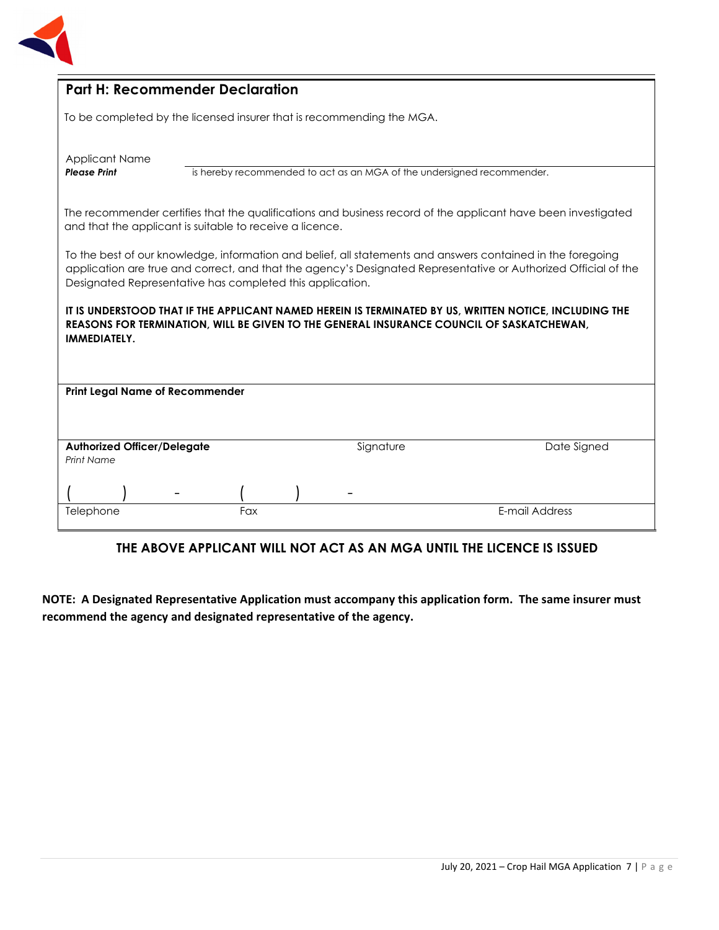

| <b>Part H: Recommender Declaration</b>                                |     |                                                                        |                                                                                                                                                                                                                                |
|-----------------------------------------------------------------------|-----|------------------------------------------------------------------------|--------------------------------------------------------------------------------------------------------------------------------------------------------------------------------------------------------------------------------|
| To be completed by the licensed insurer that is recommending the MGA. |     |                                                                        |                                                                                                                                                                                                                                |
| <b>Applicant Name</b><br><b>Please Print</b>                          |     | is hereby recommended to act as an MGA of the undersigned recommender. |                                                                                                                                                                                                                                |
| and that the applicant is suitable to receive a licence.              |     |                                                                        | The recommender certifies that the qualifications and business record of the applicant have been investigated                                                                                                                  |
| Designated Representative has completed this application.             |     |                                                                        | To the best of our knowledge, information and belief, all statements and answers contained in the foregoing<br>application are true and correct, and that the agency's Designated Representative or Authorized Official of the |
| IMMEDIATELY.                                                          |     |                                                                        | IT IS UNDERSTOOD THAT IF THE APPLICANT NAMED HEREIN IS TERMINATED BY US, WRITTEN NOTICE, INCLUDING THE<br>REASONS FOR TERMINATION, WILL BE GIVEN TO THE GENERAL INSURANCE COUNCIL OF SASKATCHEWAN,                             |
| <b>Print Legal Name of Recommender</b>                                |     |                                                                        |                                                                                                                                                                                                                                |
| <b>Authorized Officer/Delegate</b><br><b>Print Name</b>               |     | Signature                                                              | Date Signed                                                                                                                                                                                                                    |
|                                                                       |     |                                                                        |                                                                                                                                                                                                                                |
| Telephone                                                             | Fax |                                                                        | E-mail Address                                                                                                                                                                                                                 |

#### **THE ABOVE APPLICANT WILL NOT ACT AS AN MGA UNTIL THE LICENCE IS ISSUED**

**NOTE: A Designated Representative Application must accompany this application form. The same insurer must recommend the agency and designated representative of the agency.**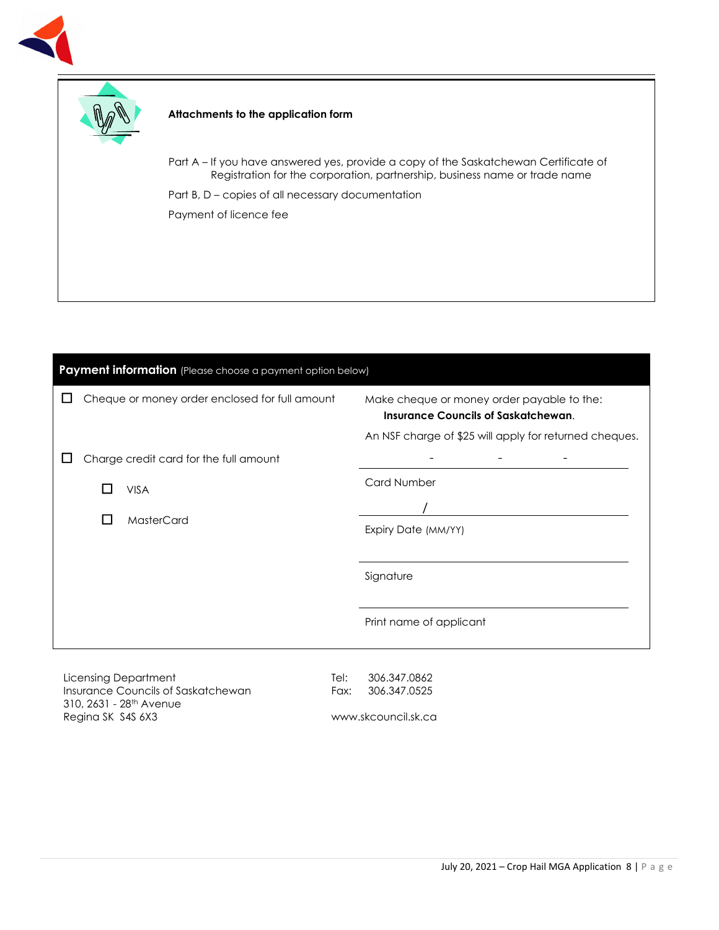



#### **Attachments to the application form**

Part A – If you have answered yes, provide a copy of the Saskatchewan Certificate of Registration for the corporation, partnership, business name or trade name

Part B, D – copies of all necessary documentation Payment of licence fee

| Cheque or money order enclosed for full amount<br>ப | Make cheque or money order payable to the:<br><b>Insurance Councils of Saskatchewan.</b><br>An NSF charge of \$25 will apply for returned cheques. |
|-----------------------------------------------------|----------------------------------------------------------------------------------------------------------------------------------------------------|
| Charge credit card for the full amount              | Card Number                                                                                                                                        |
| <b>VISA</b>                                         |                                                                                                                                                    |
| MasterCard<br>ப                                     | Expiry Date (MM/YY)                                                                                                                                |
|                                                     | Signature                                                                                                                                          |
|                                                     | Print name of applicant                                                                                                                            |

Licensing Department Insurance Councils of Saskatchewan 310, 2631 - 28th Avenue Regina SK S4S 6X3

Tel: 306.347.0862 Fax: 306.347.0525

www.skcouncil.sk.ca